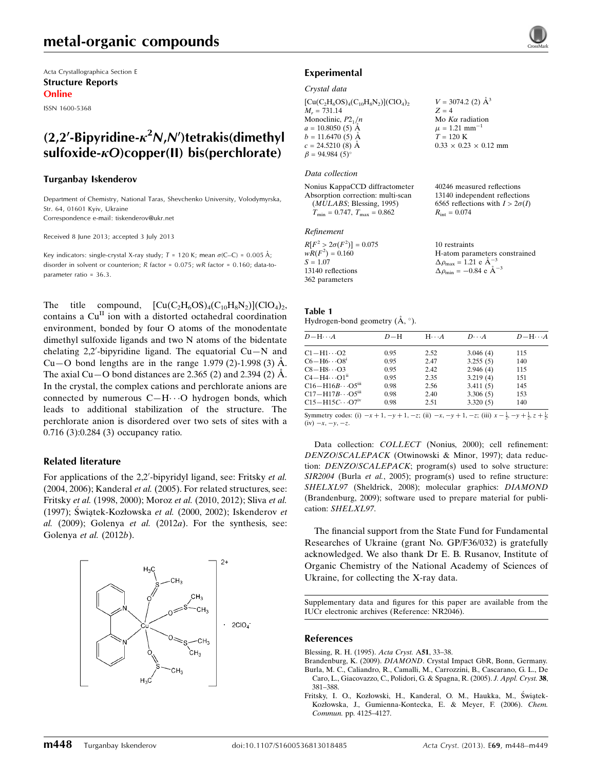Acta Crystallographica Section E Structure Reports Online

ISSN 1600-5368

# $(2,2^{\prime}$ -Bipyridine- $\kappa^2 N$ , $N^{\prime}$ )tetrakis(dimethyl sulfoxide- $\kappa$ O)copper(II) bis(perchlorate)

#### Turganbay Iskenderov

Department of Chemistry, National Taras, Shevchenko University, Volodymyrska, Str. 64, 01601 Kyiv, Ukraine Correspondence e-mail: [tiskenderov@ukr.net](https://scripts.iucr.org/cgi-bin/cr.cgi?rm=pdfbb&cnor=nr2046&bbid=BB19)

Received 8 June 2013; accepted 3 July 2013

Key indicators: single-crystal X-ray study;  $T = 120$  K; mean  $\sigma$ (C–C) = 0.005 Å; disorder in solvent or counterion; R factor = 0.075; wR factor = 0.160; data-toparameter ratio = 36.3.

The title compound,  $\left[\text{Cu}(C_2H_6OS)_4(C_{10}H_8N_2)\right](CIO_4)_2$ , contains a Cu<sup>II</sup> ion with a distorted octahedral coordination environment, bonded by four O atoms of the monodentate dimethyl sulfoxide ligands and two N atoms of the bidentate chelating  $2,2'$ -bipyridine ligand. The equatorial  $Cu - N$  and Cu–O bond lengths are in the range 1.979 (2)-1.998 (3) A. The axial Cu $-$ O bond distances are 2.365 (2) and 2.394 (2)  $\AA$ . In the crystal, the complex cations and perchlorate anions are connected by numerous  $C-H\cdots O$  hydrogen bonds, which leads to additional stabilization of the structure. The perchlorate anion is disordered over two sets of sites with a 0.716 (3):0.284 (3) occupancy ratio.

### Related literature

For applications of the 2,2'-bipyridyl ligand, see: Fritsky et al. (2004, 2006); Kanderal et al. (2005). For related structures, see: Fritsky et al. (1998, 2000); Moroz et al. (2010, 2012); Sliva et al. (1997); Świątek-Kozłowska et al. (2000, 2002); Iskenderov et al.  $(2009)$ ; Golenya et al.  $(2012a)$ . For the synthesis, see: Golenya et al. (2012b).



# Experimental

#### Crystal data

 $[Cu(C_2H_6OS)_4(C_{10}H_8N_2)](ClO_4)_2$  $M<sub>r</sub> = 731.14$ Monoclinic,  $P2_1/n$  $a = 10.8050(5)$  Å  $b = 11.6470(5)$  Å  $c = 24.5210(8)$  Å  $\beta = 94.984(5)$ 

#### Data collection

Nonius KappaCCD diffractometer Absorption correction: multi-scan (MULABS; Blessing, 1995)  $T_{\text{min}} = 0.747$ ,  $T_{\text{max}} = 0.862$ 

#### Refinement

| $R[F^2 > 2\sigma(F^2)] = 0.075$ | 10 restraints                                                |
|---------------------------------|--------------------------------------------------------------|
| $wR(F^2) = 0.160$               | H-atom parameters constrained                                |
| $S = 1.07$                      | $\Delta \rho_{\text{max}} = 1.21 \text{ e } \text{\AA}^{-3}$ |
| 13140 reflections               | $\Delta \rho_{\text{min}} = -0.84$ e $\AA^{-3}$              |
| 362 parameters                  |                                                              |
|                                 |                                                              |

| Table 1                                 |  |  |
|-----------------------------------------|--|--|
| Hydrogen-bond geometry $(A, \degree)$ . |  |  |

| $D - H \cdots A$                                                                      | $D - H$ | $H\cdots A$ | $D\cdots A$ | $D - H \cdots A$ |
|---------------------------------------------------------------------------------------|---------|-------------|-------------|------------------|
| $C1 - H1 \cdots O2$                                                                   | 0.95    | 2.52        | 3.046(4)    | 115              |
| $C6 - H6 \cdots O8$ <sup>1</sup>                                                      | 0.95    | 2.47        | 3.255(5)    | 140              |
| $C8 - H8 \cdots O3$                                                                   | 0.95    | 2.42        | 2.946(4)    | 115              |
| $C4 - H4 \cdots O1$ <sup>n</sup>                                                      | 0.95    | 2.35        | 3.219(4)    | 151              |
| $C16 - H16B \cdots O5$ <sup>iii</sup>                                                 | 0.98    | 2.56        | 3.411(5)    | 145              |
| $C17 - H17B \cdots O5$ <sup>iii</sup>                                                 | 0.98    | 2.40        | 3.306(5)    | 153              |
| $C15-H15C\cdots O7iv$                                                                 | 0.98    | 2.51        | 3.320(5)    | 140              |
| <b>Symmetry eaches (i)</b> $v+1$ $v+1$ $v$ (ii) $v$ $v+1$ $v$ (iii) $v-1$ $v+1$ $v+1$ |         |             |             |                  |

Symmetry codes: (i)  $-x + 1$ ,  $-y + 1$ ,  $-z$ ; (ii)  $-x$ ,  $-y + 1$ ,  $-z$ ; (iii)  $x - \frac{1}{2}$ ,  $-y + \frac{1}{2}$ ,  $z + \frac{1}{2}$ ;  $(iv)$   $-x, -y, -z.$ 

Data collection: COLLECT (Nonius, 2000); cell refinement: DENZO/SCALEPACK (Otwinowski & Minor, 1997); data reduction: DENZO/SCALEPACK; program(s) used to solve structure: SIR2004 (Burla et al., 2005); program(s) used to refine structure: SHELXL97 (Sheldrick, 2008); molecular graphics: DIAMOND (Brandenburg, 2009); software used to prepare material for publication: SHELXL97.

The financial support from the State Fund for Fundamental Researches of Ukraine (grant No. GP/F36/032) is gratefully acknowledged. We also thank Dr E. B. Rusanov, Institute of Organic Chemistry of the National Academy of Sciences of Ukraine, for collecting the X-ray data.

Supplementary data and figures for this paper are available from the IUCr electronic archives (Reference: NR2046).

#### References

- [Blessing, R. H. \(1995\).](https://scripts.iucr.org/cgi-bin/cr.cgi?rm=pdfbb&cnor=nr2046&bbid=BB1) Acta Cryst. A51, 33–38.
- Brandenburg, K. (2009). DIAMOND[. Crystal Impact GbR, Bonn, Germany.](https://scripts.iucr.org/cgi-bin/cr.cgi?rm=pdfbb&cnor=nr2046&bbid=BB2) [Burla, M. C., Caliandro, R., Camalli, M., Carrozzini, B., Cascarano, G. L., De](https://scripts.iucr.org/cgi-bin/cr.cgi?rm=pdfbb&cnor=nr2046&bbid=BB3) [Caro, L., Giacovazzo, C., Polidori, G. & Spagna, R. \(2005\).](https://scripts.iucr.org/cgi-bin/cr.cgi?rm=pdfbb&cnor=nr2046&bbid=BB3) J. Appl. Cryst. 38, [381–388.](https://scripts.iucr.org/cgi-bin/cr.cgi?rm=pdfbb&cnor=nr2046&bbid=BB3)
- Fritsky, I. O., Kozłowski, H., Kanderal, O. M., Haukka, M., Świątek-[Kozłowska, J., Gumienna-Kontecka, E. & Meyer, F. \(2006\).](https://scripts.iucr.org/cgi-bin/cr.cgi?rm=pdfbb&cnor=nr2046&bbid=BB4) Chem. Commun. [pp. 4125–4127.](https://scripts.iucr.org/cgi-bin/cr.cgi?rm=pdfbb&cnor=nr2046&bbid=BB4)

 $V = 3074.2$  (2)  $\AA^3$ 

Mo  $K\alpha$  radiation  $\mu = 1.21$  mm<sup>-1</sup>  $T = 120 K$ 

 $R_{\text{int}} = 0.074$ 

 $0.33 \times 0.23 \times 0.12$  mm

40246 measured reflections 13140 independent reflections 6565 reflections with  $I > 2\sigma(I)$ 

 $Z = 4$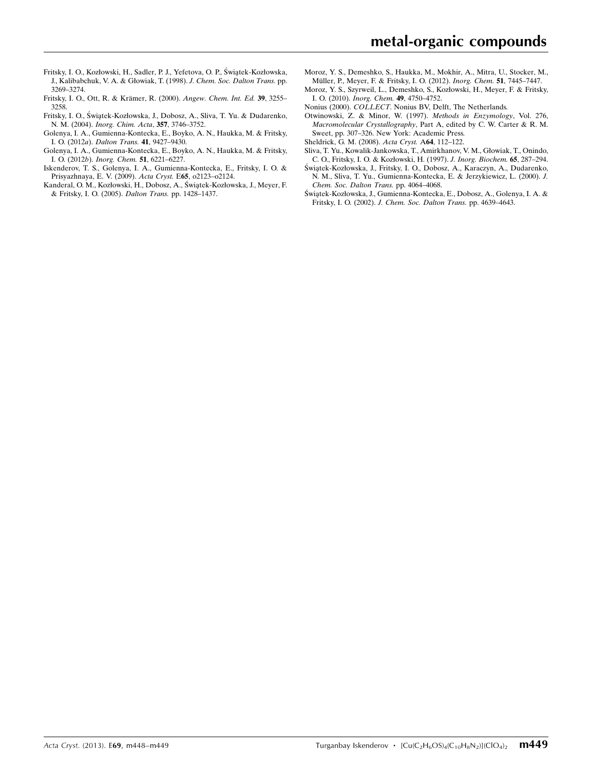- Fritsky, I. O., Kozłowski, H., Sadler, P. J., Yefetova, O. P., Świątek-Kozłowska, [J., Kalibabchuk, V. A. & Głowiak, T. \(1998\).](https://scripts.iucr.org/cgi-bin/cr.cgi?rm=pdfbb&cnor=nr2046&bbid=BB5) J. Chem. Soc. Dalton Trans. pp. [3269–3274.](https://scripts.iucr.org/cgi-bin/cr.cgi?rm=pdfbb&cnor=nr2046&bbid=BB5)
- Fritsky, I. O., Ott, R. & Krämer, R. (2000). Angew. Chem. Int. Ed. 39, 3255-[3258.](https://scripts.iucr.org/cgi-bin/cr.cgi?rm=pdfbb&cnor=nr2046&bbid=BB6)
- Fritsky, I. O., Świątek-Kozłowska, J., Dobosz, A., Sliva, T. Yu. & Dudarenko, N. M. (2004). [Inorg. Chim. Acta](https://scripts.iucr.org/cgi-bin/cr.cgi?rm=pdfbb&cnor=nr2046&bbid=BB7), 357, 3746–3752.
- [Golenya, I. A., Gumienna-Kontecka, E., Boyko, A. N., Haukka, M. & Fritsky,](https://scripts.iucr.org/cgi-bin/cr.cgi?rm=pdfbb&cnor=nr2046&bbid=BB8) I. O. (2012a). [Dalton Trans.](https://scripts.iucr.org/cgi-bin/cr.cgi?rm=pdfbb&cnor=nr2046&bbid=BB8) 41, 9427–9430.
- [Golenya, I. A., Gumienna-Kontecka, E., Boyko, A. N., Haukka, M. & Fritsky,](https://scripts.iucr.org/cgi-bin/cr.cgi?rm=pdfbb&cnor=nr2046&bbid=BB9) I. O. (2012b). [Inorg. Chem.](https://scripts.iucr.org/cgi-bin/cr.cgi?rm=pdfbb&cnor=nr2046&bbid=BB9) 51, 6221–6227.
- [Iskenderov, T. S., Golenya, I. A., Gumienna-Kontecka, E., Fritsky, I. O. &](https://scripts.iucr.org/cgi-bin/cr.cgi?rm=pdfbb&cnor=nr2046&bbid=BB10) [Prisyazhnaya, E. V. \(2009\).](https://scripts.iucr.org/cgi-bin/cr.cgi?rm=pdfbb&cnor=nr2046&bbid=BB10) Acta Cryst. E65, o2123–o2124.
- Kanderal, O. M., Kozłowski, H., Dobosz, A., Światek-Kozłowska, J., Meyer, F. [& Fritsky, I. O. \(2005\).](https://scripts.iucr.org/cgi-bin/cr.cgi?rm=pdfbb&cnor=nr2046&bbid=BB11) Dalton Trans. pp. 1428–1437.
- [Moroz, Y. S., Demeshko, S., Haukka, M., Mokhir, A., Mitra, U., Stocker, M.,](https://scripts.iucr.org/cgi-bin/cr.cgi?rm=pdfbb&cnor=nr2046&bbid=BB12) Müller, P., Meyer, F. & Fritsky, I. O. (2012). Inorg. Chem. 51, 7445-7447.
- [Moroz, Y. S., Szyrweil, L., Demeshko, S., Kozłowski, H., Meyer, F. & Fritsky,](https://scripts.iucr.org/cgi-bin/cr.cgi?rm=pdfbb&cnor=nr2046&bbid=BB13) I. O. (2010). [Inorg. Chem.](https://scripts.iucr.org/cgi-bin/cr.cgi?rm=pdfbb&cnor=nr2046&bbid=BB13) 49, 4750–4752.
- Nonius (2000). COLLECT[. Nonius BV, Delft, The Netherlands.](https://scripts.iucr.org/cgi-bin/cr.cgi?rm=pdfbb&cnor=nr2046&bbid=BB14)
- [Otwinowski, Z. & Minor, W. \(1997\).](https://scripts.iucr.org/cgi-bin/cr.cgi?rm=pdfbb&cnor=nr2046&bbid=BB15) Methods in Enzymology, Vol. 276, Macromolecular Crystallography[, Part A, edited by C. W. Carter & R. M.](https://scripts.iucr.org/cgi-bin/cr.cgi?rm=pdfbb&cnor=nr2046&bbid=BB15) [Sweet, pp. 307–326. New York: Academic Press.](https://scripts.iucr.org/cgi-bin/cr.cgi?rm=pdfbb&cnor=nr2046&bbid=BB15)
- [Sheldrick, G. M. \(2008\).](https://scripts.iucr.org/cgi-bin/cr.cgi?rm=pdfbb&cnor=nr2046&bbid=BB16) Acta Cryst. A64, 112–122.
- [Sliva, T. Yu., Kowalik-Jankowska, T., Amirkhanov, V. M., Głowiak, T., Onindo,](https://scripts.iucr.org/cgi-bin/cr.cgi?rm=pdfbb&cnor=nr2046&bbid=BB17) [C. O., Fritsky, I. O. & Kozłowski, H. \(1997\).](https://scripts.iucr.org/cgi-bin/cr.cgi?rm=pdfbb&cnor=nr2046&bbid=BB17) J. Inorg. Biochem. 65, 287–294.
- Świątek-Kozłowska, J., Fritsky, I. O., Dobosz, A., Karaczyn, A., Dudarenko, [N. M., Sliva, T. Yu., Gumienna-Kontecka, E. & Jerzykiewicz, L. \(2000\).](https://scripts.iucr.org/cgi-bin/cr.cgi?rm=pdfbb&cnor=nr2046&bbid=BB18) J. [Chem. Soc. Dalton Trans.](https://scripts.iucr.org/cgi-bin/cr.cgi?rm=pdfbb&cnor=nr2046&bbid=BB18) pp. 4064–4068.
- Świątek-Kozłowska, J., Gumienna-Kontecka, E., Dobosz, A., Golenya, I. A. & Fritsky, I. O. (2002). [J. Chem. Soc. Dalton Trans.](https://scripts.iucr.org/cgi-bin/cr.cgi?rm=pdfbb&cnor=nr2046&bbid=BB19) pp. 4639–4643.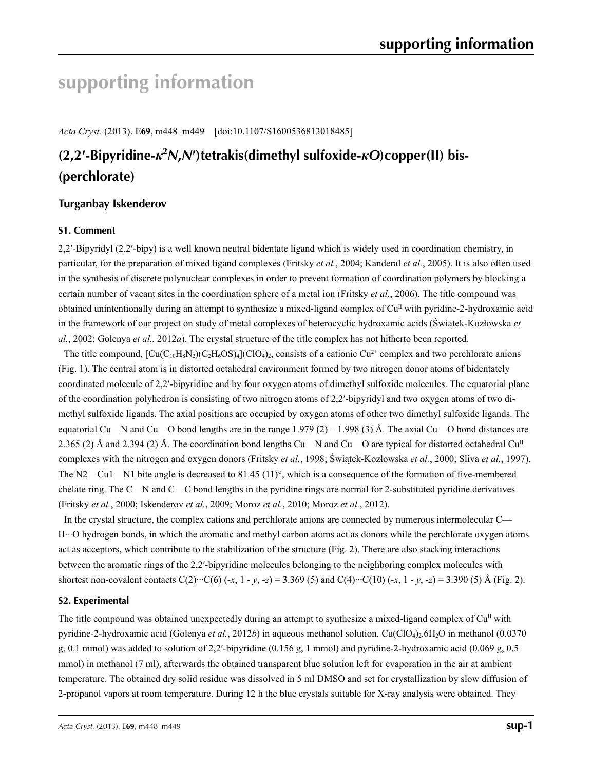# **supporting information**

*Acta Cryst.* (2013). E**69**, m448–m449 [doi:10.1107/S1600536813018485]

# **(2,2′-Bipyridine-***κ***<sup>2</sup>** *N***,***N***′)tetrakis(dimethyl sulfoxide-***κO***)copper(II) bis- (perchlorate)**

# **Turganbay Iskenderov**

# **S1. Comment**

2,2′-Bipyridyl (2,2′-bipy) is a well known neutral bidentate ligand which is widely used in coordination chemistry, in particular, for the preparation of mixed ligand complexes (Fritsky *et al.*, 2004; Kanderal *et al.*, 2005). It is also often used in the synthesis of discrete polynuclear complexes in order to prevent formation of coordination polymers by blocking a certain number of vacant sites in the coordination sphere of a metal ion (Fritsky *et al.*, 2006). The title compound was obtained unintentionally during an attempt to synthesize a mixed-ligand complex of  $Cu<sup>II</sup>$  with pyridine-2-hydroxamic acid in the framework of our project on study of metal complexes of heterocyclic hydroxamic acids (Świątek-Kozłowska *et al.*, 2002; Golenya *et al.*, 2012*a*). The crystal structure of the title complex has not hitherto been reported.

The title compound,  $\left[\text{Cu}(C_{10}H_8N_2)(C_2H_6OS)_4\right](ClO_4)_2$ , consists of a cationic Cu<sup>2+</sup> complex and two perchlorate anions (Fig. 1). The central atom is in distorted octahedral environment formed by two nitrogen donor atoms of bidentately coordinated molecule of 2,2′-bipyridine and by four oxygen atoms of dimethyl sulfoxide molecules. The equatorial plane of the coordination polyhedron is consisting of two nitrogen atoms of 2,2′-bipyridyl and two oxygen atoms of two dimethyl sulfoxide ligands. The axial positions are occupied by oxygen atoms of other two dimethyl sulfoxide ligands. The equatorial Cu—N and Cu—O bond lengths are in the range  $1.979(2) - 1.998(3)$  Å. The axial Cu—O bond distances are 2.365 (2) Å and 2.394 (2) Å. The coordination bond lengths Cu—N and Cu—O are typical for distorted octahedral Cu<sup>II</sup> complexes with the nitrogen and oxygen donors (Fritsky *et al.*, 1998; Świątek-Kozłowska *et al.*, 2000; Sliva *et al.*, 1997). The N2—Cu1—N1 bite angle is decreased to 81.45 (11)°, which is a consequence of the formation of five-membered chelate ring. The C—N and C—C bond lengths in the pyridine rings are normal for 2-substituted pyridine derivatives (Fritsky *et al.*, 2000; Iskenderov *et al.*, 2009; Moroz *et al.*, 2010; Moroz *et al.*, 2012).

In the crystal structure, the complex cations and perchlorate anions are connected by numerous intermolecular C— H···O hydrogen bonds, in which the aromatic and methyl carbon atoms act as donors while the perchlorate oxygen atoms act as acceptors, which contribute to the stabilization of the structure (Fig. 2). There are also stacking interactions between the aromatic rings of the 2,2′-bipyridine molecules belonging to the neighboring complex molecules with shortest non-covalent contacts  $C(2) \cdots C(6)$  (-*x*, 1 - *y*, -*z*) = 3.369 (5) and  $C(4) \cdots C(10)$  (-*x*, 1 - *y*, -*z*) = 3.390 (5) Å (Fig. 2).

## **S2. Experimental**

The title compound was obtained unexpectedly during an attempt to synthesize a mixed-ligand complex of  $Cu<sup>II</sup>$  with pyridine-2-hydroxamic acid (Golenya *et al.*, 2012*b*) in aqueous methanol solution. Cu(ClO<sub>4</sub>)<sub>2</sub>.6H<sub>2</sub>O in methanol (0.0370) g, 0.1 mmol) was added to solution of 2,2′-bipyridine (0.156 g, 1 mmol) and pyridine-2-hydroxamic acid (0.069 g, 0.5 mmol) in methanol (7 ml), afterwards the obtained transparent blue solution left for evaporation in the air at ambient temperature. The obtained dry solid residue was dissolved in 5 ml DMSO and set for crystallization by slow diffusion of 2-propanol vapors at room temperature. During 12 h the blue crystals suitable for X-ray analysis were obtained. They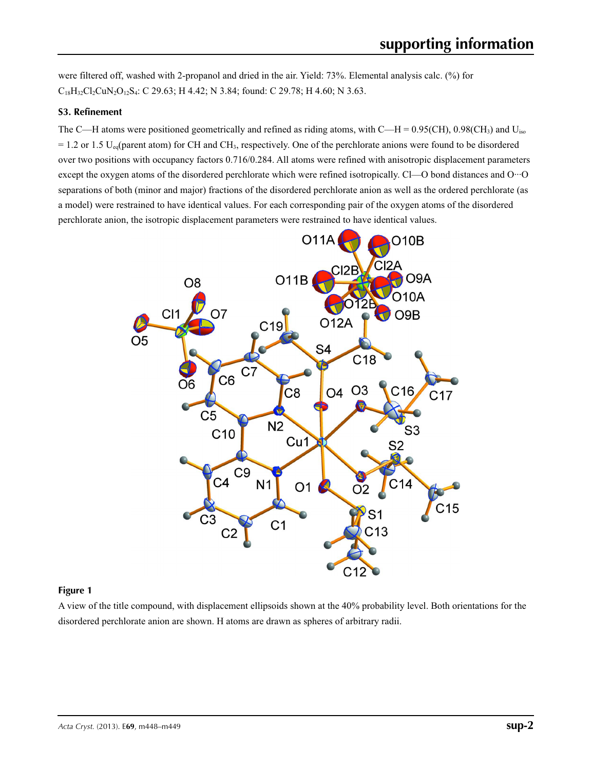were filtered off, washed with 2-propanol and dried in the air. Yield: 73%. Elemental analysis calc. (%) for  $C_{18}H_{32}Cl_2CuN_2O_{12}S_4$ : C 29.63; H 4.42; N 3.84; found: C 29.78; H 4.60; N 3.63.

## **S3. Refinement**

The C—H atoms were positioned geometrically and refined as riding atoms, with C—H =  $0.95$ (CH),  $0.98$ (CH<sub>3</sub>) and U<sub>iso</sub>  $= 1.2$  or 1.5 U<sub>eq</sub>(parent atom) for CH and CH<sub>3</sub>, respectively. One of the perchlorate anions were found to be disordered over two positions with occupancy factors 0.716/0.284. All atoms were refined with anisotropic displacement parameters except the oxygen atoms of the disordered perchlorate which were refined isotropically. Cl—O bond distances and O···O separations of both (minor and major) fractions of the disordered perchlorate anion as well as the ordered perchlorate (as a model) were restrained to have identical values. For each corresponding pair of the oxygen atoms of the disordered perchlorate anion, the isotropic displacement parameters were restrained to have identical values.



### **Figure 1**

A view of the title compound, with displacement ellipsoids shown at the 40% probability level. Both orientations for the disordered perchlorate anion are shown. H atoms are drawn as spheres of arbitrary radii.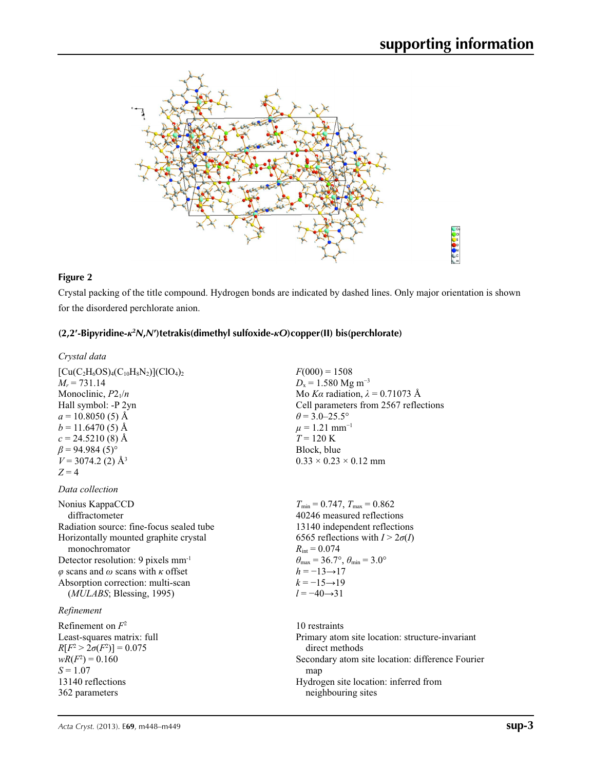

### **Figure 2**

Crystal packing of the title compound. Hydrogen bonds are indicated by dashed lines. Only major orientation is shown for the disordered perchlorate anion.

# **(2,2′-Bipyridine-***κ***<sup>2</sup>** *N***,***N***′)tetrakis(dimethyl sulfoxide-***κO***)copper(II) bis(perchlorate)**

| Crystal data                              |
|-------------------------------------------|
| $[Cu(C_2H_6OS)_4(C_{10}H_8N_2)](ClO_4)_2$ |
| $M_r = 731.14$                            |
| Monoclinic, $P2_1/n$                      |
| Hall symbol: -P 2yn                       |
| $a = 10.8050(5)$ Å                        |
| $b = 11.6470(5)$ Å                        |
| $c = 24.5210(8)$ Å                        |
| $\beta$ = 94.984 (5) <sup>o</sup>         |
| $V = 3074.2$ (2) Å <sup>3</sup>           |
|                                           |

# *Data collection*

 $Z = 4$ 

Nonius KappaCCD diffractometer Radiation source: fine-focus sealed tube Horizontally mounted graphite crystal monochromator Detector resolution: 9 pixels mm-1 *φ* scans and *ω* scans with *κ* offset Absorption correction: multi-scan (*MULABS*; Blessing, 1995)

## *Refinement*

Refinement on *F*<sup>2</sup> Least-squares matrix: full  $R[F^2 > 2\sigma(F^2)] = 0.075$  $wR(F^2) = 0.160$  $S = 1.07$ 13140 reflections 362 parameters

 $F(000) = 1508$  $D_x = 1.580$  Mg m<sup>-3</sup> Mo *Kα* radiation, *λ* = 0.71073 Å Cell parameters from 2567 reflections  $\theta$  = 3.0–25.5°  $\mu = 1.21$  mm<sup>-1</sup>  $T = 120 \text{ K}$ Block, blue  $0.33 \times 0.23 \times 0.12$  mm

 $T_{\text{min}} = 0.747$ ,  $T_{\text{max}} = 0.862$ 40246 measured reflections 13140 independent reflections 6565 reflections with  $I > 2\sigma(I)$  $R_{\text{int}} = 0.074$  $\theta_{\text{max}} = 36.7^{\circ}, \theta_{\text{min}} = 3.0^{\circ}$  $h = -13 \rightarrow 17$  $k = -15 \rightarrow 19$ *l* = −40→31

10 restraints Primary atom site location: structure-invariant direct methods Secondary atom site location: difference Fourier map Hydrogen site location: inferred from neighbouring sites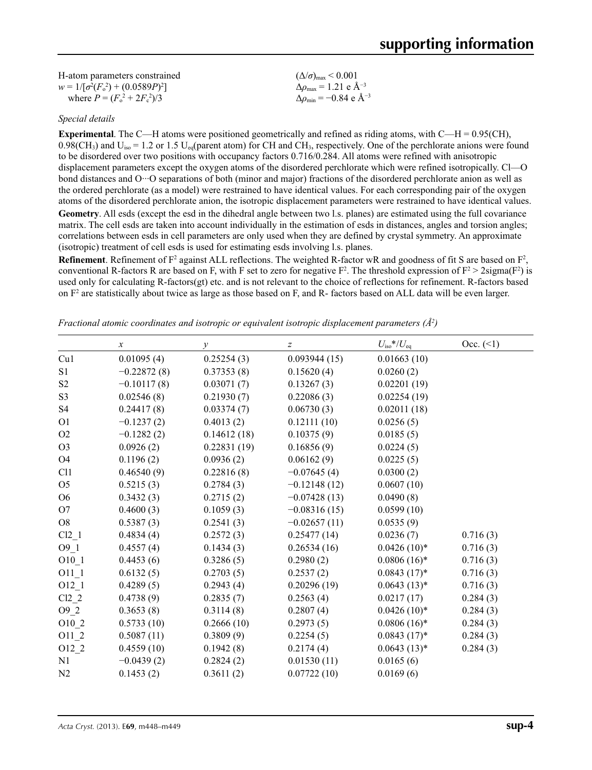| H-atom parameters constrained           | $(\Delta/\sigma)_{\text{max}}$ < 0.001           |
|-----------------------------------------|--------------------------------------------------|
| $w = 1/[\sigma^2(F_0^2) + (0.0589P)^2]$ | $\Delta\rho_{\rm max} = 1.21$ e $\rm \AA^{-3}$   |
| where $P = (F_0^2 + 2F_c^2)/3$          | $\Delta\rho_{\rm min}$ = -0.84 e Å <sup>-3</sup> |

### *Special details*

**Experimental**. The C—H atoms were positioned geometrically and refined as riding atoms, with C—H = 0.95(CH),  $0.98$ (CH<sub>3</sub>) and U<sub>iso</sub> = 1.2 or 1.5 U<sub>eq</sub>(parent atom) for CH and CH<sub>3</sub>, respectively. One of the perchlorate anions were found to be disordered over two positions with occupancy factors 0.716/0.284. All atoms were refined with anisotropic displacement parameters except the oxygen atoms of the disordered perchlorate which were refined isotropically. Cl—O bond distances and O···O separations of both (minor and major) fractions of the disordered perchlorate anion as well as the ordered perchlorate (as a model) were restrained to have identical values. For each corresponding pair of the oxygen atoms of the disordered perchlorate anion, the isotropic displacement parameters were restrained to have identical values. **Geometry**. All esds (except the esd in the dihedral angle between two l.s. planes) are estimated using the full covariance matrix. The cell esds are taken into account individually in the estimation of esds in distances, angles and torsion angles; correlations between esds in cell parameters are only used when they are defined by crystal symmetry. An approximate (isotropic) treatment of cell esds is used for estimating esds involving l.s. planes.

**Refinement**. Refinement of  $F^2$  against ALL reflections. The weighted R-factor wR and goodness of fit S are based on  $F^2$ , conventional R-factors R are based on F, with F set to zero for negative  $F^2$ . The threshold expression of  $F^2 > 2 \text{sigma}(F^2)$  is used only for calculating R-factors(gt) etc. and is not relevant to the choice of reflections for refinement. R-factors based on  $F<sup>2</sup>$  are statistically about twice as large as those based on F, and R- factors based on ALL data will be even larger.

|                | $\boldsymbol{\chi}$ | $\mathcal{Y}$ | $\boldsymbol{Z}$ | $U_{\rm iso}$ */ $U_{\rm eq}$ | Occ. (2) |
|----------------|---------------------|---------------|------------------|-------------------------------|----------|
| Cu1            | 0.01095(4)          | 0.25254(3)    | 0.093944(15)     | 0.01663(10)                   |          |
| S1             | $-0.22872(8)$       | 0.37353(8)    | 0.15620(4)       | 0.0260(2)                     |          |
| S <sub>2</sub> | $-0.10117(8)$       | 0.03071(7)    | 0.13267(3)       | 0.02201(19)                   |          |
| S <sub>3</sub> | 0.02546(8)          | 0.21930(7)    | 0.22086(3)       | 0.02254(19)                   |          |
| S <sub>4</sub> | 0.24417(8)          | 0.03374(7)    | 0.06730(3)       | 0.02011(18)                   |          |
| O <sub>1</sub> | $-0.1237(2)$        | 0.4013(2)     | 0.12111(10)      | 0.0256(5)                     |          |
| O2             | $-0.1282(2)$        | 0.14612(18)   | 0.10375(9)       | 0.0185(5)                     |          |
| O <sub>3</sub> | 0.0926(2)           | 0.22831(19)   | 0.16856(9)       | 0.0224(5)                     |          |
| O <sub>4</sub> | 0.1196(2)           | 0.0936(2)     | 0.06162(9)       | 0.0225(5)                     |          |
| C11            | 0.46540(9)          | 0.22816(8)    | $-0.07645(4)$    | 0.0300(2)                     |          |
| O <sub>5</sub> | 0.5215(3)           | 0.2784(3)     | $-0.12148(12)$   | 0.0607(10)                    |          |
| O <sub>6</sub> | 0.3432(3)           | 0.2715(2)     | $-0.07428(13)$   | 0.0490(8)                     |          |
| O <sub>7</sub> | 0.4600(3)           | 0.1059(3)     | $-0.08316(15)$   | 0.0599(10)                    |          |
| O <sub>8</sub> | 0.5387(3)           | 0.2541(3)     | $-0.02657(11)$   | 0.0535(9)                     |          |
| Cl2 1          | 0.4834(4)           | 0.2572(3)     | 0.25477(14)      | 0.0236(7)                     | 0.716(3) |
| $O9_1$         | 0.4557(4)           | 0.1434(3)     | 0.26534(16)      | $0.0426(10)*$                 | 0.716(3) |
| $O10_1$        | 0.4453(6)           | 0.3286(5)     | 0.2980(2)        | $0.0806(16)^*$                | 0.716(3) |
| O11 1          | 0.6132(5)           | 0.2703(5)     | 0.2537(2)        | $0.0843(17)^*$                | 0.716(3) |
| $O12_{1}$      | 0.4289(5)           | 0.2943(4)     | 0.20296(19)      | $0.0643(13)*$                 | 0.716(3) |
| $Cl2_2$        | 0.4738(9)           | 0.2835(7)     | 0.2563(4)        | 0.0217(17)                    | 0.284(3) |
| $O9_2$         | 0.3653(8)           | 0.3114(8)     | 0.2807(4)        | $0.0426(10)*$                 | 0.284(3) |
| O10 2          | 0.5733(10)          | 0.2666(10)    | 0.2973(5)        | $0.0806(16)*$                 | 0.284(3) |
| $O11_2$        | 0.5087(11)          | 0.3809(9)     | 0.2254(5)        | $0.0843(17)^*$                | 0.284(3) |
| $O12_{2}$      | 0.4559(10)          | 0.1942(8)     | 0.2174(4)        | $0.0643(13)*$                 | 0.284(3) |
| N <sub>1</sub> | $-0.0439(2)$        | 0.2824(2)     | 0.01530(11)      | 0.0165(6)                     |          |
| N2             | 0.1453(2)           | 0.3611(2)     | 0.07722(10)      | 0.0169(6)                     |          |

*Fractional atomic coordinates and isotropic or equivalent isotropic displacement parameters (Å<sup>2</sup>)*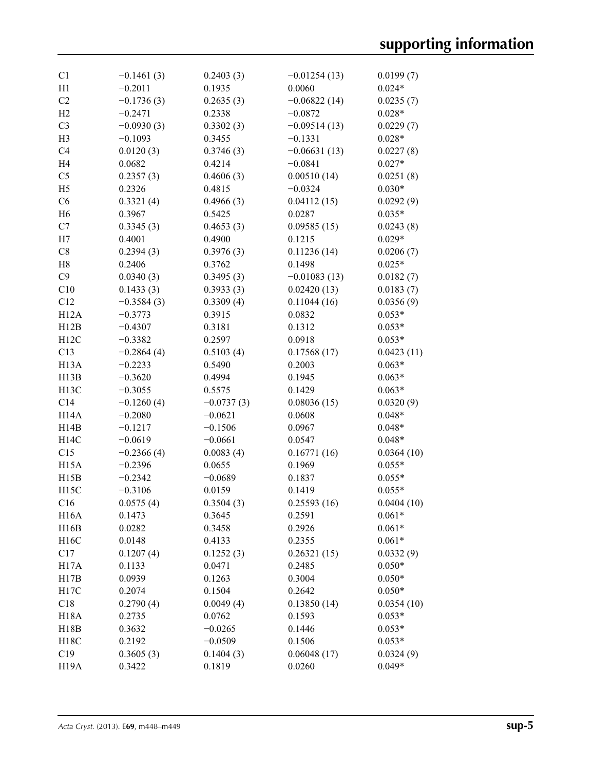| C <sub>1</sub>    | $-0.1461(3)$ | 0.2403(3)    | $-0.01254(13)$ | 0.0199(7)  |
|-------------------|--------------|--------------|----------------|------------|
| H1                | $-0.2011$    | 0.1935       | 0.0060         | $0.024*$   |
| C2                | $-0.1736(3)$ | 0.2635(3)    | $-0.06822(14)$ | 0.0235(7)  |
| H2                | $-0.2471$    | 0.2338       | $-0.0872$      | $0.028*$   |
| C <sub>3</sub>    | $-0.0930(3)$ | 0.3302(3)    | $-0.09514(13)$ | 0.0229(7)  |
| H <sub>3</sub>    | $-0.1093$    | 0.3455       | $-0.1331$      | $0.028*$   |
| C <sub>4</sub>    | 0.0120(3)    | 0.3746(3)    | $-0.06631(13)$ | 0.0227(8)  |
| H <sub>4</sub>    | 0.0682       | 0.4214       | $-0.0841$      | $0.027*$   |
| C <sub>5</sub>    | 0.2357(3)    | 0.4606(3)    | 0.00510(14)    | 0.0251(8)  |
| H <sub>5</sub>    | 0.2326       | 0.4815       | $-0.0324$      | $0.030*$   |
| C6                | 0.3321(4)    | 0.4966(3)    | 0.04112(15)    | 0.0292(9)  |
| H <sub>6</sub>    | 0.3967       | 0.5425       | 0.0287         | $0.035*$   |
| C7                | 0.3345(3)    | 0.4653(3)    | 0.09585(15)    | 0.0243(8)  |
| H7                | 0.4001       | 0.4900       | 0.1215         | $0.029*$   |
| C8                | 0.2394(3)    | 0.3976(3)    | 0.11236(14)    | 0.0206(7)  |
| H8                | 0.2406       | 0.3762       | 0.1498         | $0.025*$   |
| C9                | 0.0340(3)    | 0.3495(3)    | $-0.01083(13)$ | 0.0182(7)  |
| C10               | 0.1433(3)    | 0.3933(3)    | 0.02420(13)    | 0.0183(7)  |
| C12               | $-0.3584(3)$ | 0.3309(4)    | 0.11044(16)    | 0.0356(9)  |
| H12A              | $-0.3773$    | 0.3915       | 0.0832         | $0.053*$   |
| H12B              | $-0.4307$    | 0.3181       | 0.1312         | $0.053*$   |
| H12C              | $-0.3382$    | 0.2597       | 0.0918         | $0.053*$   |
| C13               | $-0.2864(4)$ | 0.5103(4)    | 0.17568(17)    | 0.0423(11) |
| H <sub>13</sub> A | $-0.2233$    | 0.5490       | 0.2003         | $0.063*$   |
| H13B              | $-0.3620$    | 0.4994       | 0.1945         | $0.063*$   |
| H <sub>13</sub> C | $-0.3055$    | 0.5575       | 0.1429         | $0.063*$   |
| C14               | $-0.1260(4)$ | $-0.0737(3)$ | 0.08036(15)    | 0.0320(9)  |
| H <sub>14</sub> A | $-0.2080$    | $-0.0621$    | 0.0608         | $0.048*$   |
| H14B              | $-0.1217$    | $-0.1506$    | 0.0967         | $0.048*$   |
| H14C              | $-0.0619$    | $-0.0661$    | 0.0547         | $0.048*$   |
| C15               | $-0.2366(4)$ | 0.0083(4)    | 0.16771(16)    | 0.0364(10) |
| H <sub>15</sub> A | $-0.2396$    | 0.0655       | 0.1969         | $0.055*$   |
| H15B              | $-0.2342$    | $-0.0689$    | 0.1837         | $0.055*$   |
| H <sub>15</sub> C | $-0.3106$    | 0.0159       | 0.1419         | $0.055*$   |
| C16               | 0.0575(4)    | 0.3504(3)    | 0.25593(16)    | 0.0404(10) |
| H <sub>16</sub> A | 0.1473       | 0.3645       | 0.2591         | $0.061*$   |
| H16B              | 0.0282       | 0.3458       | 0.2926         | $0.061*$   |
| H16C              | 0.0148       | 0.4133       | 0.2355         | $0.061*$   |
| C17               | 0.1207(4)    | 0.1252(3)    | 0.26321(15)    | 0.0332(9)  |
| H17A              | 0.1133       | 0.0471       | 0.2485         | $0.050*$   |
| H17B              | 0.0939       | 0.1263       | 0.3004         | $0.050*$   |
| H17C              | 0.2074       | 0.1504       | 0.2642         | $0.050*$   |
| C18               | 0.2790(4)    | 0.0049(4)    | 0.13850(14)    | 0.0354(10) |
| <b>H18A</b>       | 0.2735       | 0.0762       | 0.1593         | $0.053*$   |
| H18B              | 0.3632       | $-0.0265$    | 0.1446         | $0.053*$   |
| H18C              | 0.2192       | $-0.0509$    | 0.1506         | $0.053*$   |
| C19               | 0.3605(3)    | 0.1404(3)    | 0.06048(17)    | 0.0324(9)  |
| H <sub>19</sub> A | 0.3422       | 0.1819       | 0.0260         | $0.049*$   |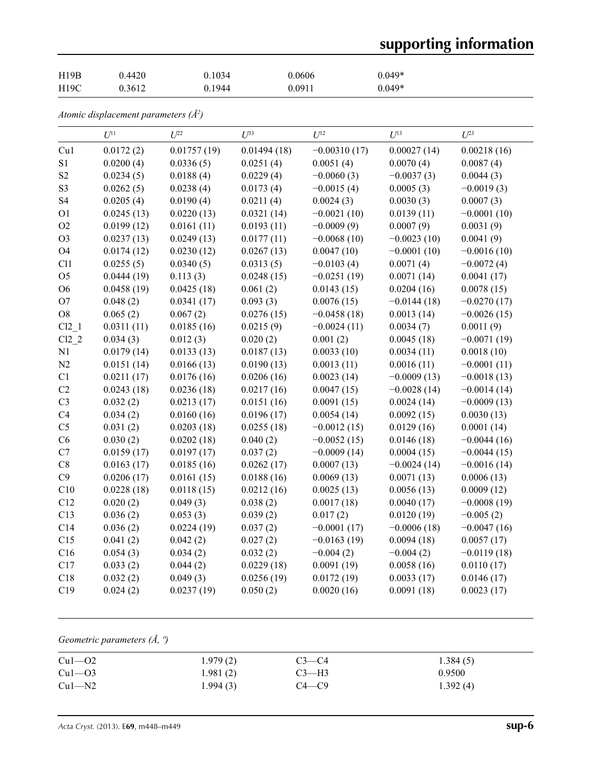# **supporting information**

| H19B | 0.4420 | 0.1034 | 0.0606 | $0.049*$ |
|------|--------|--------|--------|----------|
| H19C | 0.3612 | 0.1944 | 0.0911 | $0.049*$ |

*Atomic displacement parameters (Å2 )*

|                | $U^{11}$   | $U^{22}$    | $U^{33}$    | $U^{12}$       | $U^{13}$      | $U^{23}$      |
|----------------|------------|-------------|-------------|----------------|---------------|---------------|
| Cu1            | 0.0172(2)  | 0.01757(19) | 0.01494(18) | $-0.00310(17)$ | 0.00027(14)   | 0.00218(16)   |
| S <sub>1</sub> | 0.0200(4)  | 0.0336(5)   | 0.0251(4)   | 0.0051(4)      | 0.0070(4)     | 0.0087(4)     |
| S <sub>2</sub> | 0.0234(5)  | 0.0188(4)   | 0.0229(4)   | $-0.0060(3)$   | $-0.0037(3)$  | 0.0044(3)     |
| S <sub>3</sub> | 0.0262(5)  | 0.0238(4)   | 0.0173(4)   | $-0.0015(4)$   | 0.0005(3)     | $-0.0019(3)$  |
| S <sub>4</sub> | 0.0205(4)  | 0.0190(4)   | 0.0211(4)   | 0.0024(3)      | 0.0030(3)     | 0.0007(3)     |
| O <sub>1</sub> | 0.0245(13) | 0.0220(13)  | 0.0321(14)  | $-0.0021(10)$  | 0.0139(11)    | $-0.0001(10)$ |
| O2             | 0.0199(12) | 0.0161(11)  | 0.0193(11)  | $-0.0009(9)$   | 0.0007(9)     | 0.0031(9)     |
| O <sub>3</sub> | 0.0237(13) | 0.0249(13)  | 0.0177(11)  | $-0.0068(10)$  | $-0.0023(10)$ | 0.0041(9)     |
| <b>O4</b>      | 0.0174(12) | 0.0230(12)  | 0.0267(13)  | 0.0047(10)     | $-0.0001(10)$ | $-0.0016(10)$ |
| C11            | 0.0255(5)  | 0.0340(5)   | 0.0313(5)   | $-0.0103(4)$   | 0.0071(4)     | $-0.0072(4)$  |
| O <sub>5</sub> | 0.0444(19) | 0.113(3)    | 0.0248(15)  | $-0.0251(19)$  | 0.0071(14)    | 0.0041(17)    |
| O <sub>6</sub> | 0.0458(19) | 0.0425(18)  | 0.061(2)    | 0.0143(15)     | 0.0204(16)    | 0.0078(15)    |
| O <sub>7</sub> | 0.048(2)   | 0.0341(17)  | 0.093(3)    | 0.0076(15)     | $-0.0144(18)$ | $-0.0270(17)$ |
| ${\rm O}8$     | 0.065(2)   | 0.067(2)    | 0.0276(15)  | $-0.0458(18)$  | 0.0013(14)    | $-0.0026(15)$ |
| $Cl2$ 1        | 0.0311(11) | 0.0185(16)  | 0.0215(9)   | $-0.0024(11)$  | 0.0034(7)     | 0.0011(9)     |
| $Cl2_2$        | 0.034(3)   | 0.012(3)    | 0.020(2)    | 0.001(2)       | 0.0045(18)    | $-0.0071(19)$ |
| N1             | 0.0179(14) | 0.0133(13)  | 0.0187(13)  | 0.0033(10)     | 0.0034(11)    | 0.0018(10)    |
| N2             | 0.0151(14) | 0.0166(13)  | 0.0190(13)  | 0.0013(11)     | 0.0016(11)    | $-0.0001(11)$ |
| C1             | 0.0211(17) | 0.0176(16)  | 0.0206(16)  | 0.0023(14)     | $-0.0009(13)$ | $-0.0018(13)$ |
| C2             | 0.0243(18) | 0.0236(18)  | 0.0217(16)  | 0.0047(15)     | $-0.0028(14)$ | $-0.0014(14)$ |
| C <sub>3</sub> | 0.032(2)   | 0.0213(17)  | 0.0151(16)  | 0.0091(15)     | 0.0024(14)    | $-0.0009(13)$ |
| C4             | 0.034(2)   | 0.0160(16)  | 0.0196(17)  | 0.0054(14)     | 0.0092(15)    | 0.0030(13)    |
| C <sub>5</sub> | 0.031(2)   | 0.0203(18)  | 0.0255(18)  | $-0.0012(15)$  | 0.0129(16)    | 0.0001(14)    |
| C6             | 0.030(2)   | 0.0202(18)  | 0.040(2)    | $-0.0052(15)$  | 0.0146(18)    | $-0.0044(16)$ |
| C7             | 0.0159(17) | 0.0197(17)  | 0.037(2)    | $-0.0009(14)$  | 0.0004(15)    | $-0.0044(15)$ |
| $\rm{C}8$      | 0.0163(17) | 0.0185(16)  | 0.0262(17)  | 0.0007(13)     | $-0.0024(14)$ | $-0.0016(14)$ |
| C9             | 0.0206(17) | 0.0161(15)  | 0.0188(16)  | 0.0069(13)     | 0.0071(13)    | 0.0006(13)    |
| C10            | 0.0228(18) | 0.0118(15)  | 0.0212(16)  | 0.0025(13)     | 0.0056(13)    | 0.0009(12)    |
| C12            | 0.020(2)   | 0.049(3)    | 0.038(2)    | 0.0017(18)     | 0.0040(17)    | $-0.0008(19)$ |
| C13            | 0.036(2)   | 0.053(3)    | 0.039(2)    | 0.017(2)       | 0.0120(19)    | $-0.005(2)$   |
| C14            | 0.036(2)   | 0.0224(19)  | 0.037(2)    | $-0.0001(17)$  | $-0.0006(18)$ | $-0.0047(16)$ |
| C15            | 0.041(2)   | 0.042(2)    | 0.027(2)    | $-0.0163(19)$  | 0.0094(18)    | 0.0057(17)    |
| C16            | 0.054(3)   | 0.034(2)    | 0.032(2)    | $-0.004(2)$    | $-0.004(2)$   | $-0.0119(18)$ |
| C17            | 0.033(2)   | 0.044(2)    | 0.0229(18)  | 0.0091(19)     | 0.0058(16)    | 0.0110(17)    |
| C18            | 0.032(2)   | 0.049(3)    | 0.0256(19)  | 0.0172(19)     | 0.0033(17)    | 0.0146(17)    |
| C19            | 0.024(2)   | 0.0237(19)  | 0.050(2)    | 0.0020(16)     | 0.0091(18)    | 0.0023(17)    |

*Geometric parameters (Å, º)*

| $Cu1-02$ | 1.979(2) | $C3-C4$   | 1.384(5) |
|----------|----------|-----------|----------|
| $Cu1-03$ | 1.981(2) | $C3-H3$   | 0.9500   |
| $Cu1-M2$ | 1.994(3) | $C4 - C9$ | 1.392(4) |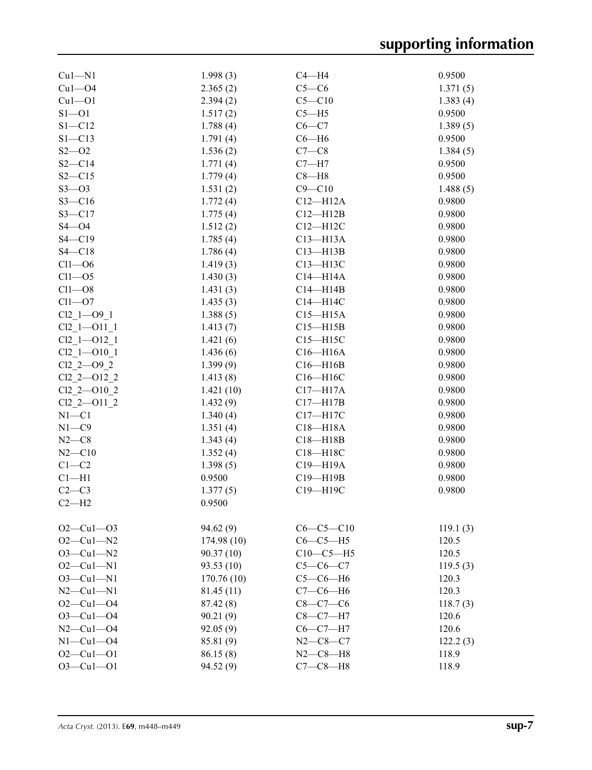| $Cu1-M1$            | 1.998(3)   | $C4 - H4$      | 0.9500   |
|---------------------|------------|----------------|----------|
| $Cu1 - O4$          | 2.365(2)   | $C5-C6$        | 1.371(5) |
| $Cu1 - O1$          | 2.394(2)   | $C5 - C10$     | 1.383(4) |
| $S1 - 01$           | 1.517(2)   | $C5 - H5$      | 0.9500   |
| $S1 - C12$          | 1.788(4)   | $C6 - C7$      | 1.389(5) |
| $S1 - C13$          | 1.791(4)   | $C6 - H6$      | 0.9500   |
| $S2 - 02$           | 1.536(2)   | $C7-C8$        | 1.384(5) |
| $S2 - C14$          | 1.771(4)   | $C7 - H7$      | 0.9500   |
| $S2 - C15$          | 1.779(4)   | $C8 - H8$      | 0.9500   |
| $S3 - 03$           | 1.531(2)   | $C9 - C10$     | 1.488(5) |
| $S3 - C16$          | 1.772(4)   | $C12 - H12A$   | 0.9800   |
| $S3 - C17$          | 1.775(4)   | $C12 - H12B$   | 0.9800   |
| $S4 - O4$           | 1.512(2)   | $C12 - H12C$   | 0.9800   |
| $S4 - C19$          | 1.785(4)   | $C13 - H13A$   | 0.9800   |
| $S4 - C18$          | 1.786(4)   | $C13 - H13B$   | 0.9800   |
| $Cl1 - O6$          | 1.419(3)   | C13-H13C       | 0.9800   |
| $Cl1 - O5$          | 1.430(3)   | $C14 - H14A$   | 0.9800   |
| $Cl1 - O8$          | 1.431(3)   | $C14 - H14B$   | 0.9800   |
| $Cl1 - O7$          |            | C14-H14C       | 0.9800   |
|                     | 1.435(3)   |                |          |
| $Cl2 1 - O9 1$      | 1.388(5)   | $C15 - H15A$   | 0.9800   |
| $Cl2\_1$ - $O11\_1$ | 1.413(7)   | $C15 - H15B$   | 0.9800   |
| $Cl2 1 - O12 1$     | 1.421(6)   | $C15 - H15C$   | 0.9800   |
| $Cl2 1 - O10 1$     | 1.436(6)   | $C16 - H16A$   | 0.9800   |
| $Cl2 2 - O9 2$      | 1.399(9)   | $C16 - H16B$   | 0.9800   |
| Cl2 2-012 2         | 1.413(8)   | $C16 - H16C$   | 0.9800   |
| $Cl2 2 - O10 2$     | 1.421(10)  | $C17 - H17A$   | 0.9800   |
| Cl2 2-011 2         | 1.432(9)   | $C17 - H17B$   | 0.9800   |
| $N1 - C1$           | 1.340(4)   | C17-H17C       | 0.9800   |
| $N1 - C9$           | 1.351(4)   | $C18 - H18A$   | 0.9800   |
| $N2-C8$             | 1.343(4)   | $C18 - H18B$   | 0.9800   |
| $N2 - C10$          | 1.352(4)   | C18-H18C       | 0.9800   |
| $C1-C2$             | 1.398(5)   | C19-H19A       | 0.9800   |
| $Cl-H1$             | 0.9500     | C19-H19B       | 0.9800   |
| $C2-C3$             | 1.377(5)   | C19-H19C       | 0.9800   |
| $C2-H2$             | 0.9500     |                |          |
|                     |            |                |          |
| $O2-Cu1-O3$         | 94.62(9)   | $C6-C5-C10$    | 119.1(3) |
| $O2 - Cu1 - N2$     | 174.98(10) | $C6-C5-H5$     | 120.5    |
| $O3 - Cu1 - N2$     |            |                |          |
|                     | 90.37(10)  | $C10-C5-H5$    | 120.5    |
| $O2 - Cu1 - N1$     | 93.53 (10) | $C5-C6-C7$     | 119.5(3) |
| $O3 - Cu1 - N1$     | 170.76(10) | $C5-C6-H6$     | 120.3    |
| $N2$ — $Cu1$ — $N1$ | 81.45 (11) | $C7-C6-H6$     | 120.3    |
| $O2 - Cu1 - O4$     | 87.42(8)   | $C8-C7-C6$     | 118.7(3) |
| $O3 - Cu1 - O4$     | 90.21(9)   | $C8-C7-H7$     | 120.6    |
| $N2 - Cu1 - O4$     | 92.05(9)   | $C6-C7-H7$     | 120.6    |
| $N1-Cu1-04$         | 85.81 (9)  | $N2 - C8 - C7$ | 122.2(3) |
| $O2 - Cu1 - O1$     | 86.15(8)   | $N2 - C8 - H8$ | 118.9    |
| $O3 - Cu1 - O1$     | 94.52 (9)  | $C7-C8-H8$     | 118.9    |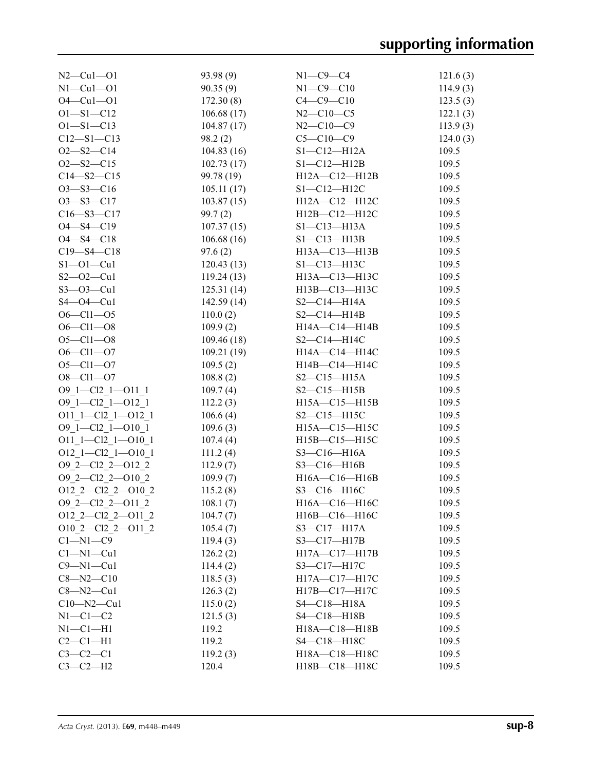| $N2 - Cu1 - O1$                               | 93.98(9)   | $N1-C9-C4$          | 121.6(3) |
|-----------------------------------------------|------------|---------------------|----------|
| $N1-Cu1-O1$                                   | 90.35(9)   | $N1 - C9 - C10$     | 114.9(3) |
| $O4 - Cu1 - O1$                               | 172.30(8)  | $C4 - C9 - C10$     | 123.5(3) |
| $O1 - S1 - C12$                               | 106.68(17) | $N2 - C10 - C5$     | 122.1(3) |
| $O1 - S1 - C13$                               | 104.87(17) | $N2 - C10 - C9$     | 113.9(3) |
| $C12 - S1 - C13$                              | 98.2(2)    | $C5 - C10 - C9$     | 124.0(3) |
| $O2 - S2 - C14$                               | 104.83(16) | $S1-C12-H12A$       | 109.5    |
| $O2 - S2 - C15$                               | 102.73(17) | $S1 - C12 - H12B$   | 109.5    |
| $C14 - S2 - C15$                              | 99.78 (19) | $H12A - C12 - H12B$ | 109.5    |
| $O3 - S3 - C16$                               | 105.11(17) | $S1 - C12 - H12C$   | 109.5    |
| $O3 - S3 - C17$                               | 103.87(15) | H12A-C12-H12C       | 109.5    |
| $C16 - S3 - C17$                              | 99.7(2)    | H12B-C12-H12C       | 109.5    |
| $O4 - S4 - C19$                               | 107.37(15) | $S1 - C13 - H13A$   | 109.5    |
| $O4 - S4 - C18$                               | 106.68(16) | $S1 - C13 - H13B$   | 109.5    |
| $C19 - S4 - C18$                              | 97.6(2)    | H13A-C13-H13B       | 109.5    |
| $S1 - 01 - Cu1$                               | 120.43(13) | $S1 - C13 - H13C$   | 109.5    |
| $S2 - 02 - Cu1$                               | 119.24(13) | H13A-C13-H13C       | 109.5    |
| $S3 - 03 - Cu1$                               | 125.31(14) | H13B-C13-H13C       | 109.5    |
| $S4 - O4 - Cu1$                               | 142.59(14) | $S2-C14-H14A$       | 109.5    |
| $O6 - Cl1 - O5$                               | 110.0(2)   | $S2-C14-H14B$       | 109.5    |
| $O6 - Cl1 - O8$                               | 109.9(2)   | H14A-C14-H14B       | 109.5    |
| $O5 - Cl1 - O8$                               | 109.46(18) | $S2-C14-H14C$       | 109.5    |
| $O6 - Cl1 - O7$                               | 109.21(19) | H14A-C14-H14C       | 109.5    |
| $O5 - Cl1 - O7$                               | 109.5(2)   | H14B-C14-H14C       | 109.5    |
| $O8 - Cl1 - O7$                               | 108.8(2)   | $S2-C15-H15A$       | 109.5    |
| O9 1-Cl2 1-O11 1                              | 109.7(4)   | $S2 - C15 - H15B$   | 109.5    |
| O9 1-Cl2 1-O12 1                              | 112.2(3)   | H15A-C15-H15B       | 109.5    |
| $O11\_1$ - $Cl2\_1$ - $O12\_1$                | 106.6(4)   | $S2-C15-H15C$       | 109.5    |
| O9 1-Cl2 1-O10 1                              | 109.6(3)   | H15A-C15-H15C       | 109.5    |
| O11 1-Cl2 1-O10 1                             | 107.4(4)   | $H15B - C15 - H15C$ | 109.5    |
| O12 1-Cl2 1-O10 1                             | 111.2(4)   | $S3-C16-H16A$       | 109.5    |
| O9 2-Cl2 2-O12 2                              | 112.9(7)   | $S3-C16-H16B$       | 109.5    |
| O9 2-Cl2 2-O10 2                              | 109.9(7)   | H16A-C16-H16B       | 109.5    |
| $O12\_2$ - $Cl2\_2$ - $O10\_2$                | 115.2(8)   | S3-C16-H16C         | 109.5    |
| $O9_2$ -Cl2 <sub>-</sub> 2--O11 <sub>-2</sub> | 108.1(7)   | H16A-C16-H16C       | 109.5    |
| O12 2-Cl2 2-O11 2                             | 104.7(7)   | H16B-C16-H16C       | 109.5    |
| O10 2-Cl2 2-O11 2                             | 105.4(7)   | $S3 - C17 - H17A$   | 109.5    |
| $C1 - N1 - C9$                                | 119.4(3)   | $S3 - C17 - H17B$   | 109.5    |
| $Cl-M1-Cu1$                                   | 126.2(2)   | $H17A - C17 - H17B$ | 109.5    |
| $C9 - N1 - Cu1$                               | 114.4(2)   | S3-C17-H17C         | 109.5    |
| $C8 - N2 - C10$                               | 118.5(3)   | H17A-C17-H17C       | 109.5    |
| $C8 - N2 - Cu1$                               | 126.3(2)   | H17B-C17-H17C       | 109.5    |
| $C10 - N2 - Cu1$                              | 115.0(2)   | $S4 - C18 - H18A$   | 109.5    |
| $N1-C1-C2$                                    | 121.5(3)   | $S4 - C18 - H18B$   | 109.5    |
| $N1-C1-H1$                                    | 119.2      | H18A-C18-H18B       | 109.5    |
| $C2-C1-H1$                                    | 119.2      | S4-C18-H18C         | 109.5    |
| $C3-C2-C1$                                    | 119.2(3)   | H18A-C18-H18C       | 109.5    |
| $C3-C2-H2$                                    | 120.4      | H18B-C18-H18C       | 109.5    |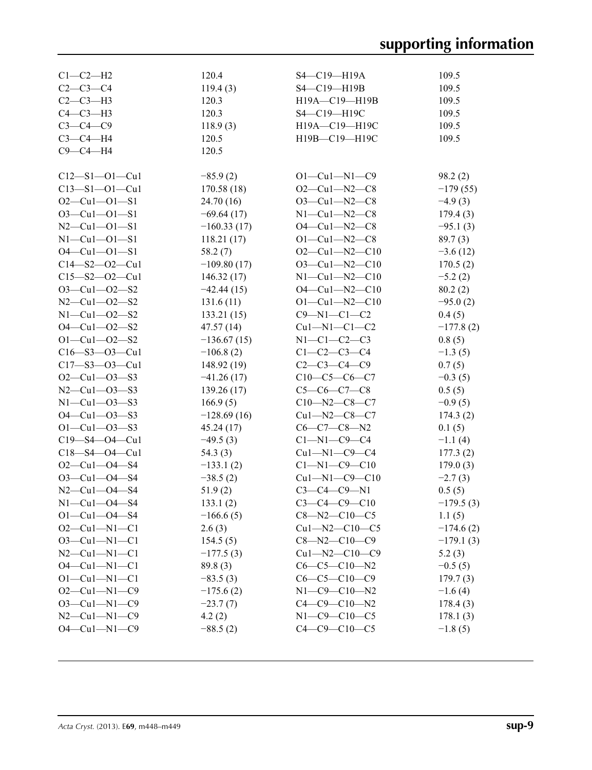| $C1-C2-H2$                 | 120.4         | S4-C19-H19A           | 109.5       |
|----------------------------|---------------|-----------------------|-------------|
| $C2 - C3 - C4$             | 119.4(3)      | S4-C19-H19B           | 109.5       |
| $C2-C3-H3$                 | 120.3         | H19A-C19-H19B         | 109.5       |
| $C4-C3-H3$                 | 120.3         | S4-C19-H19C           | 109.5       |
| $C3-C4-C9$                 | 118.9(3)      | H19A-C19-H19C         | 109.5       |
| $C3-C4-H4$                 | 120.5         | H19B-C19-H19C         | 109.5       |
| $C9-C4-H4$                 | 120.5         |                       |             |
|                            |               |                       |             |
| $C12 - S1 - O1 - Cu1$      | $-85.9(2)$    | $O1 - Cu1 - N1 - C9$  | 98.2(2)     |
| $C13 - S1 - O1 - Cu1$      | 170.58(18)    | $O2-Cu1-N2-C8$        | $-179(55)$  |
| $O2 - Cu1 - O1 - S1$       | 24.70(16)     | $O3 - Cu1 - N2 - C8$  | $-4.9(3)$   |
| $O3 - Cu1 - O1 - S1$       | $-69.64(17)$  | $N1 - Cu1 - N2 - C8$  | 179.4(3)    |
| $N2 - Cu1 - O1 - S1$       | $-160.33(17)$ | $O4 - Cu1 - N2 - C8$  | $-95.1(3)$  |
| $N1 - Cu1 - O1 - S1$       | 118.21(17)    | $O1 - Cu1 - N2 - C8$  | 89.7(3)     |
| $O4 - Cu1 - O1 - S1$       | 58.2(7)       | $O2-Cu1-N2-C10$       | $-3.6(12)$  |
| $C14 - S2 - O2 - Cu1$      | $-109.80(17)$ | $O3$ —Cul—N2—C10      | 170.5(2)    |
| $C15 - S2 - O2 - Cu1$      | 146.32(17)    | $N1-Cu1-N2-C10$       | $-5.2(2)$   |
| $O3 - Cu1 - O2 - S2$       | $-42.44(15)$  | $O4 - Cu1 - N2 - C10$ | 80.2(2)     |
| $N2$ —Cu1—O2—S2            | 131.6(11)     | $O1 - Cu1 - N2 - C10$ | $-95.0(2)$  |
| $N1 - Cu1 - 02 - S2$       | 133.21(15)    | $C9 - N1 - C1 - C2$   | 0.4(5)      |
| $O4 - Cu1 - O2 - S2$       | 47.57(14)     | $Cu1 - N1 - C1 - C2$  | $-177.8(2)$ |
| $O1 - Cu1 - O2 - S2$       | $-136.67(15)$ | N1-C1-C2-C3           | 0.8(5)      |
| $C16 - S3 - O3 - Cu1$      | $-106.8(2)$   | $C1 - C2 - C3 - C4$   | $-1.3(5)$   |
| $C17 - S3 - O3 - Cu1$      | 148.92(19)    | $C2-C3-C4-C9$         | 0.7(5)      |
| $O2-Cu1-O3-S3$             | $-41.26(17)$  | $C10-C5-C6-C7$        | $-0.3(5)$   |
| $N2 - Cu1 - O3 - S3$       | 139.26(17)    | $C5-C6-C7-C8$         | 0.5(5)      |
| $N1 - Cu1 - 03 - S3$       | 166.9(5)      | $C10 - N2 - C8 - C7$  | $-0.9(5)$   |
| $O4 - Cu1 - O3 - S3$       | $-128.69(16)$ | $Cu1 - N2 - C8 - C7$  | 174.3(2)    |
| $O1 - Cu1 - O3 - S3$       | 45.24(17)     | C6—C7—C8—N2           | 0.1(5)      |
| C19-S4-04-Cu1              | $-49.5(3)$    | C1-N1-C9-C4           | $-1.1(4)$   |
| $C18 - S4 - O4 - Cu1$      | 54.3 (3)      | $Cu1 - N1 - C9 - C4$  | 177.3(2)    |
| $O2 - Cu1 - O4 - S4$       | $-133.1(2)$   | $C1 - N1 - C9 - C10$  | 179.0(3)    |
| $O3 - Cu1 - O4 - S4$       | $-38.5(2)$    | $Cu1 - N1 - C9 - C10$ | $-2.7(3)$   |
| $N2 - Cu1 - 04 - S4$       | 51.9(2)       | $C3-C4-C9-N1$         | 0.5(5)      |
| $N1 - Cu1 - 04 - S4$       | 133.1(2)      | $C3 - C4 - C9 - C10$  | $-179.5(3)$ |
| $O1 - Cu1 - O4 - S4$       | $-166.6(5)$   | $C8 - N2 - C10 - C5$  | 1.1(5)      |
| $O2-Cu1-N1-C1$             | 2.6(3)        | $Cu1 - N2 - C10 - C5$ | $-174.6(2)$ |
| $O3 - Cu1 - N1 - C1$       | 154.5(5)      | $C8 - N2 - C10 - C9$  | $-179.1(3)$ |
| $N2$ — $Cu1$ — $N1$ — $C1$ | $-177.5(3)$   | $Cu1 - N2 - C10 - C9$ | 5.2(3)      |
| $O4 - Cu1 - N1 - C1$       | 89.8(3)       | $C6-C5-C10-N2$        | $-0.5(5)$   |
| $O1 - Cu1 - N1 - C1$       | $-83.5(3)$    | $C6-C5-C10-C9$        | 179.7(3)    |
| $O2-Cu1-N1-C9$             | $-175.6(2)$   | $N1 - C9 - C10 - N2$  | $-1.6(4)$   |
| $O3 - Cu1 - N1 - C9$       | $-23.7(7)$    | $C4 - C9 - C10 - N2$  | 178.4(3)    |
| $N2$ — $Cu1$ — $N1$ — $C9$ | 4.2(2)        | $N1 - C9 - C10 - C5$  | 178.1(3)    |
| $O4 - Cu1 - N1 - C9$       | $-88.5(2)$    | $C4 - C9 - C10 - C5$  | $-1.8(5)$   |
|                            |               |                       |             |